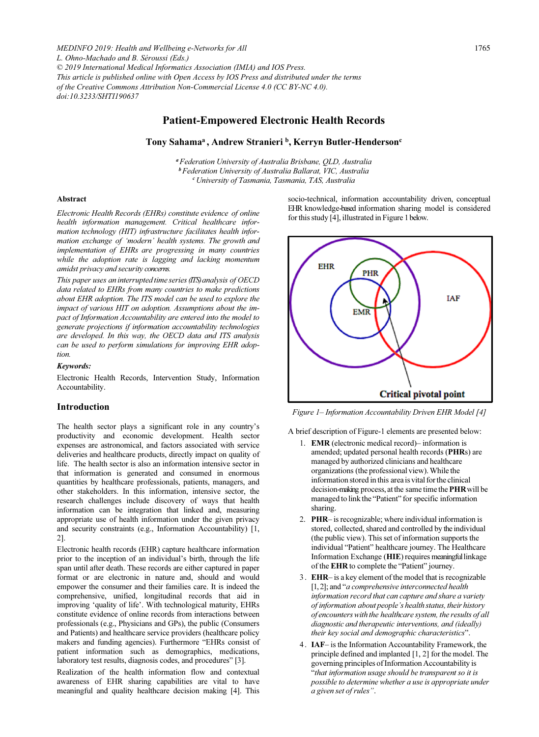*MEDINFO 2019: Health and Wellbeing e-Networks for All L. Ohno-Machado and B. Séroussi (Eds.) © 2019 International Medical Informatics Association (IMIA) and IOS Press. This article is published online with Open Access by IOS Press and distributed under the terms of the Creative Commons Attribution Non-Commercial License 4.0 (CC BY-NC 4.0). doi:10.3233/SHTI190637*

# Patient-Empowered Electronic Health Records

## Tony Sahama<sup>a</sup>, Andrew Stranieri<sup>b</sup>, Kerryn Butler-Henderson<sup>c</sup>

<sup>a</sup> Federation University of Australia Brisbane, QLD, Australia <sup>b</sup> Federation University of Australia Ballarat, VIC, Australia <sup>c</sup> University of Tasmania, Tasmania, TAS, Australia

#### Abstract

Electronic Health Records (EHRs) constitute evidence of online health information management. Critical healthcare information technology (HIT) infrastructure facilitates health information exchange of 'modern' health systems. The growth and implementation of EHRs are progressing in many countries while the adoption rate is lagging and lacking momentum amidst privacy and security concerns.

This paper uses an interrupted time series (ITS) analysis of OECD data related to EHRs from many countries to make predictions about EHR adoption. The ITS model can be used to explore the impact of various HIT on adoption. Assumptions about the impact of Information Accountability are entered into the model to generate projections if information accountability technologies are developed. In this way, the OECD data and ITS analysis can be used to perform simulations for improving EHR adoption.

#### Keywords:

Electronic Health Records, Intervention Study, Information Accountability.

#### Introduction

The health sector plays a significant role in any country's productivity and economic development. Health sector expenses are astronomical, and factors associated with service deliveries and healthcare products, directly impact on quality of life. The health sector is also an information intensive sector in that information is generated and consumed in enormous quantities by healthcare professionals, patients, managers, and other stakeholders. In this information, intensive sector, the research challenges include discovery of ways that health information can be integration that linked and, measuring appropriate use of health information under the given privacy and security constraints (e.g., Information Accountability) [1, 2].

Electronic health records (EHR) capture healthcare information prior to the inception of an individual's birth, through the life span until after death. These records are either captured in paper format or are electronic in nature and, should and would empower the consumer and their families care. It is indeed the comprehensive, unified, longitudinal records that aid in improving 'quality of life'. With technological maturity, EHRs constitute evidence of online records from interactions between professionals (e.g., Physicians and GPs), the public (Consumers and Patients) and healthcare service providers (healthcare policy makers and funding agencies). Furthermore "EHRs consist of patient information such as demographics, medications, laboratory test results, diagnosis codes, and procedures" [3].

Realization of the health information flow and contextual awareness of EHR sharing capabilities are vital to have meaningful and quality healthcare decision making [4]. This socio-technical, information accountability driven, conceptual EHR knowledge-based information sharing model is considered for this study [4], illustrated in Figure 1 below.



Figure 1– Information Accountability Driven EHR Model [4]

A brief description of Figure-1 elements are presented below:

- 1. EMR (electronic medical record)– information is amended; updated personal health records (PHRs) are managed by authorized clinicians and healthcare organizations (the professional view). While the information stored in this area is vital for the clinical decision-making process, at the same time the PHR will be managed to link the "Patient" for specific information sharing.
- 2. PHR– is recognizable; where individual information is stored, collected, shared and controlled by the individual (the public view). This set of information supports the individual "Patient" healthcare journey. The Healthcare Information Exchange (HIE) requires meaningful linkage of the EHR to complete the "Patient" journey.
- 3. EHR– is a key element of the model that is recognizable [1, 2]; and "a comprehensive interconnected health information record that can capture and share a variety of information about people's health status, their history of encounters with the healthcare system, the results of all diagnostic and therapeutic interventions, and (ideally) their key social and demographic characteristics".
- 4. IAF– is the Information Accountability Framework, the principle defined and implanted [1, 2] for the model. The governing principles of Information Accountability is "that information usage should be transparent so it is possible to determine whether a use is appropriate under a given set of rules".